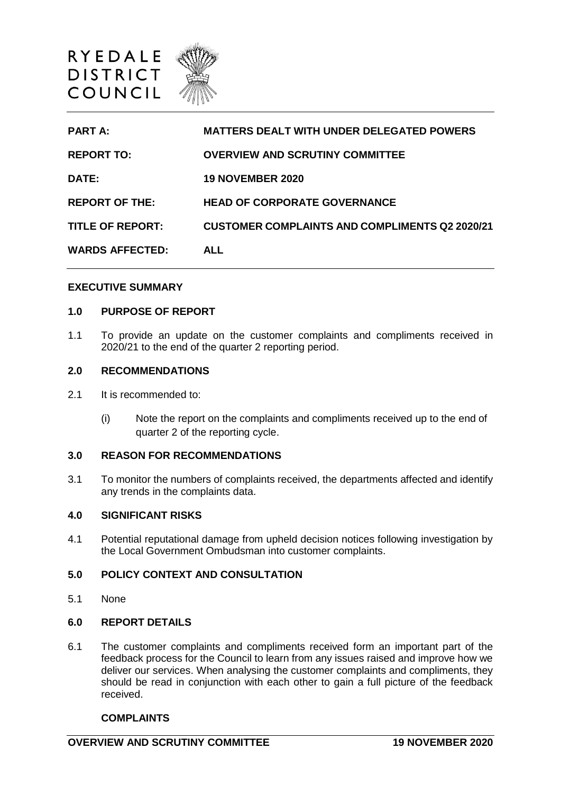

| <b>PART A:</b>          | <b>MATTERS DEALT WITH UNDER DELEGATED POWERS</b>      |
|-------------------------|-------------------------------------------------------|
| <b>REPORT TO:</b>       | <b>OVERVIEW AND SCRUTINY COMMITTEE</b>                |
| DATE:                   | <b>19 NOVEMBER 2020</b>                               |
| <b>REPORT OF THE:</b>   | <b>HEAD OF CORPORATE GOVERNANCE</b>                   |
| <b>TITLE OF REPORT:</b> | <b>CUSTOMER COMPLAINTS AND COMPLIMENTS Q2 2020/21</b> |
| <b>WARDS AFFECTED:</b>  | <b>ALL</b>                                            |

### **EXECUTIVE SUMMARY**

## **1.0 PURPOSE OF REPORT**

1.1 To provide an update on the customer complaints and compliments received in 2020/21 to the end of the quarter 2 reporting period.

#### **2.0 RECOMMENDATIONS**

- 2.1 It is recommended to:
	- (i) Note the report on the complaints and compliments received up to the end of quarter 2 of the reporting cycle.

### **3.0 REASON FOR RECOMMENDATIONS**

3.1 To monitor the numbers of complaints received, the departments affected and identify any trends in the complaints data.

### **4.0 SIGNIFICANT RISKS**

4.1 Potential reputational damage from upheld decision notices following investigation by the Local Government Ombudsman into customer complaints.

# **5.0 POLICY CONTEXT AND CONSULTATION**

5.1 None

### **6.0 REPORT DETAILS**

6.1 The customer complaints and compliments received form an important part of the feedback process for the Council to learn from any issues raised and improve how we deliver our services. When analysing the customer complaints and compliments, they should be read in conjunction with each other to gain a full picture of the feedback received.

### **COMPLAINTS**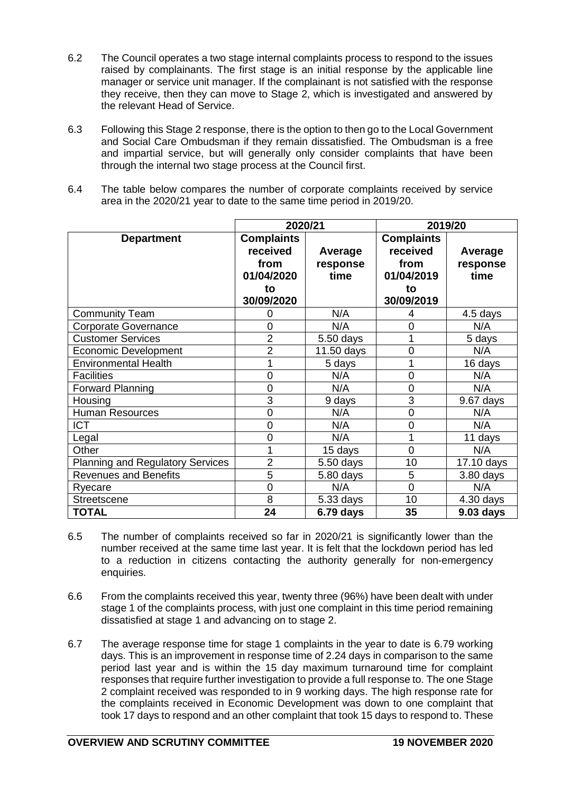- 6.2 The Council operates a two stage internal complaints process to respond to the issues raised by complainants. The first stage is an initial response by the applicable line manager or service unit manager. If the complainant is not satisfied with the response they receive, then they can move to Stage 2, which is investigated and answered by the relevant Head of Service.
- 6.3 Following this Stage 2 response, there is the option to then go to the Local Government and Social Care Ombudsman if they remain dissatisfied. The Ombudsman is a free and impartial service, but will generally only consider complaints that have been through the internal two stage process at the Council first.
- 6.4 The table below compares the number of corporate complaints received by service area in the 2020/21 year to date to the same time period in 2019/20.

|                                         | 2020/21           |             | 2019/20           |            |
|-----------------------------------------|-------------------|-------------|-------------------|------------|
| <b>Department</b>                       | <b>Complaints</b> |             | <b>Complaints</b> |            |
|                                         | received          | Average     | received          | Average    |
|                                         | from              | response    | from              | response   |
|                                         | 01/04/2020        | time        | 01/04/2019        | time       |
|                                         | to                |             | to                |            |
|                                         | 30/09/2020        |             | 30/09/2019        |            |
| <b>Community Team</b>                   | 0                 | N/A         | 4                 | 4.5 days   |
| <b>Corporate Governance</b>             | 0                 | N/A         | 0                 | N/A        |
| <b>Customer Services</b>                | $\overline{2}$    | 5.50 days   |                   | 5 days     |
| <b>Economic Development</b>             | $\overline{2}$    | 11.50 days  | 0                 | N/A        |
| <b>Environmental Health</b>             | 1                 | 5 days      |                   | 16 days    |
| <b>Facilities</b>                       | $\overline{0}$    | N/A         | 0                 | N/A        |
| <b>Forward Planning</b>                 | 0                 | N/A         | 0                 | N/A        |
| Housing                                 | 3                 | 9 days      | 3                 | 9.67 days  |
| <b>Human Resources</b>                  | $\overline{0}$    | N/A         | 0                 | N/A        |
| <b>ICT</b>                              | 0                 | N/A         | 0                 | N/A        |
| Legal                                   | 0                 | N/A         | 1                 | 11 days    |
| Other                                   | 1                 | 15 days     | $\overline{0}$    | N/A        |
| <b>Planning and Regulatory Services</b> | $\overline{2}$    | 5.50 days   | 10                | 17.10 days |
| <b>Revenues and Benefits</b>            | 5                 | 5.80 days   | 5                 | 3.80 days  |
| Ryecare                                 | 0                 | N/A         | 0                 | N/A        |
| <b>Streetscene</b>                      | 8                 | 5.33 days   | 10                | 4.30 days  |
| <b>TOTAL</b>                            | 24                | $6.79$ days | 35                | 9.03 days  |

- 6.5 The number of complaints received so far in 2020/21 is significantly lower than the number received at the same time last year. It is felt that the lockdown period has led to a reduction in citizens contacting the authority generally for non-emergency enquiries.
- 6.6 From the complaints received this year, twenty three (96%) have been dealt with under stage 1 of the complaints process, with just one complaint in this time period remaining dissatisfied at stage 1 and advancing on to stage 2.
- 6.7 The average response time for stage 1 complaints in the year to date is 6.79 working days. This is an improvement in response time of 2.24 days in comparison to the same period last year and is within the 15 day maximum turnaround time for complaint responses that require further investigation to provide a full response to. The one Stage 2 complaint received was responded to in 9 working days. The high response rate for the complaints received in Economic Development was down to one complaint that took 17 days to respond and an other complaint that took 15 days to respond to. These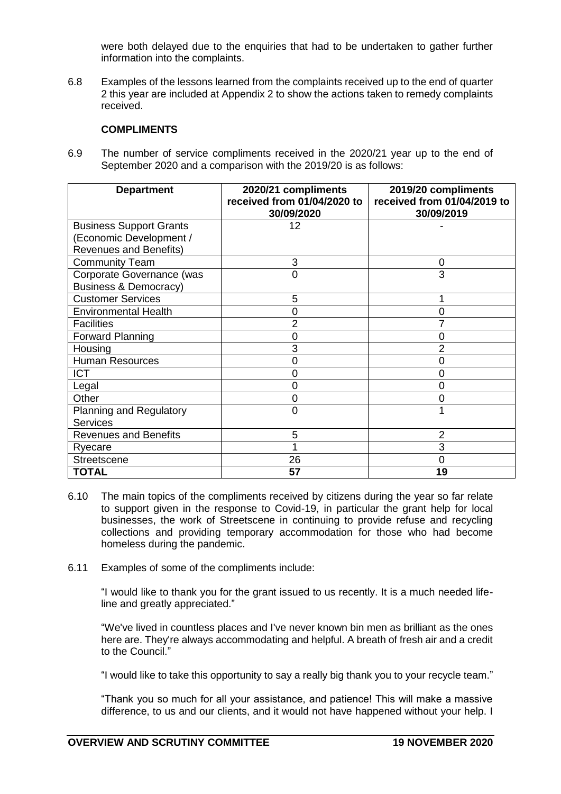were both delayed due to the enquiries that had to be undertaken to gather further information into the complaints.

6.8 Examples of the lessons learned from the complaints received up to the end of quarter 2 this year are included at Appendix 2 to show the actions taken to remedy complaints received.

## **COMPLIMENTS**

6.9 The number of service compliments received in the 2020/21 year up to the end of September 2020 and a comparison with the 2019/20 is as follows:

| <b>Department</b>                | 2020/21 compliments<br>received from 01/04/2020 to | 2019/20 compliments<br>received from 01/04/2019 to |
|----------------------------------|----------------------------------------------------|----------------------------------------------------|
|                                  | 30/09/2020                                         | 30/09/2019                                         |
| <b>Business Support Grants</b>   | 12                                                 |                                                    |
| (Economic Development /          |                                                    |                                                    |
| <b>Revenues and Benefits)</b>    |                                                    |                                                    |
| <b>Community Team</b>            | 3                                                  | 0                                                  |
| Corporate Governance (was        | 0                                                  | 3                                                  |
| <b>Business &amp; Democracy)</b> |                                                    |                                                    |
| <b>Customer Services</b>         | 5                                                  |                                                    |
| <b>Environmental Health</b>      | 0                                                  | 0                                                  |
| <b>Facilities</b>                | 2                                                  | 7                                                  |
| Forward Planning                 | $\Omega$                                           | $\overline{0}$                                     |
| Housing                          | 3                                                  | 2                                                  |
| <b>Human Resources</b>           | 0                                                  | $\overline{0}$                                     |
| <b>ICT</b>                       | O                                                  | $\overline{0}$                                     |
| Legal                            | 0                                                  | $\overline{0}$                                     |
| Other                            | 0                                                  | $\overline{0}$                                     |
| Planning and Regulatory          | 0                                                  |                                                    |
| <b>Services</b>                  |                                                    |                                                    |
| <b>Revenues and Benefits</b>     | 5                                                  | $\overline{2}$                                     |
| Ryecare                          |                                                    | 3                                                  |
| <b>Streetscene</b>               | 26                                                 | $\mathbf 0$                                        |
| <b>TOTAL</b>                     | 57                                                 | 19                                                 |

- 6.10 The main topics of the compliments received by citizens during the year so far relate to support given in the response to Covid-19, in particular the grant help for local businesses, the work of Streetscene in continuing to provide refuse and recycling collections and providing temporary accommodation for those who had become homeless during the pandemic.
- 6.11 Examples of some of the compliments include:

"I would like to thank you for the grant issued to us recently. It is a much needed lifeline and greatly appreciated."

"We've lived in countless places and I've never known bin men as brilliant as the ones here are. They're always accommodating and helpful. A breath of fresh air and a credit to the Council."

"I would like to take this opportunity to say a really big thank you to your recycle team."

"Thank you so much for all your assistance, and patience! This will make a massive difference, to us and our clients, and it would not have happened without your help. I